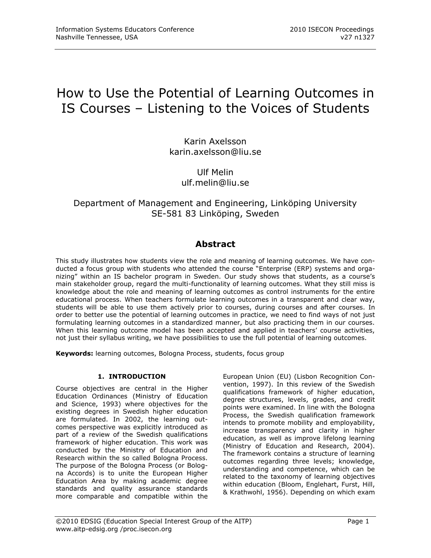# How to Use the Potential of Learning Outcomes in IS Courses – Listening to the Voices of Students

Karin Axelsson karin.axelsson@liu.se

> Ulf Melin [ulf.melin@liu.se](mailto:ulf.melin@liu.se)

# Department of Management and Engineering, Linköping University SE-581 83 Linköping, Sweden

# **Abstract**

This study illustrates how students view the role and meaning of learning outcomes. We have conducted a focus group with students who attended the course "Enterprise (ERP) systems and organizing" within an IS bachelor program in Sweden. Our study shows that students, as a course's main stakeholder group, regard the multi-functionality of learning outcomes. What they still miss is knowledge about the role and meaning of learning outcomes as control instruments for the entire educational process. When teachers formulate learning outcomes in a transparent and clear way, students will be able to use them actively prior to courses, during courses and after courses. In order to better use the potential of learning outcomes in practice, we need to find ways of not just formulating learning outcomes in a standardized manner, but also practicing them in our courses. When this learning outcome model has been accepted and applied in teachers' course activities, not just their syllabus writing, we have possibilities to use the full potential of learning outcomes.

**Keywords:** learning outcomes, Bologna Process, students, focus group

#### **1. INTRODUCTION**

Course objectives are central in the Higher Education Ordinances (Ministry of Education and Science, 1993) where objectives for the existing degrees in Swedish higher education are formulated. In 2002, the learning outcomes perspective was explicitly introduced as part of a review of the Swedish qualifications framework of higher education. This work was conducted by the Ministry of Education and Research within the so called Bologna Process. The purpose of the Bologna Process (or Bologna Accords) is to unite the European Higher Education Area by making academic degree standards and quality assurance standards more comparable and compatible within the

European Union (EU) (Lisbon Recognition Convention, 1997). In this review of the Swedish qualifications framework of higher education, degree structures, levels, grades, and credit points were examined. In line with the Bologna Process, the Swedish qualification framework intends to promote mobility and employability, increase transparency and clarity in higher education, as well as improve lifelong learning (Ministry of Education and Research, 2004). The framework contains a structure of learning outcomes regarding three levels; knowledge, understanding and competence, which can be related to the taxonomy of learning objectives within education (Bloom, Englehart, Furst, Hill, & Krathwohl, 1956). Depending on which exam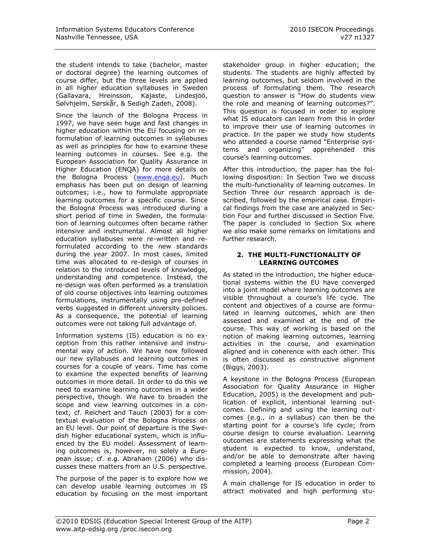the student intends to take (bachelor, master or doctoral degree) the learning outcomes of course differ, but the three levels are applied in all higher education syllabuses in Sweden (Gallavara, Hreinsson, Kajaste, Lindesjöö, Sølvhjelm, Sørskår, & Sedigh Zadeh, 2008).

Since the launch of the Bologna Process in 1997, we have seen huge and fast changes in higher education within the EU focusing on reformulation of learning outcomes in syllabuses as well as principles for how to examine these learning outcomes in courses. See e.g. the European Association for Quality Assurance in Higher Education (ENQA) for more details on the Bologna Process [\(www.enqa.eu\)](http://www.enqa.eu/). Much emphasis has been put on design of learning outcomes; i.e., how to formulate appropriate learning outcomes for a specific course. Since the Bologna Process was introduced during a short period of time in Sweden, the formulation of learning outcomes often became rather intensive and instrumental. Almost all higher education syllabuses were re-written and reformulated according to the new standards during the year 2007. In most cases, limited time was allocated to re-design of courses in relation to the introduced levels of knowledge, understanding and competence. Instead, the re-design was often performed as a translation of old course objectives into learning outcomes formulations, instrumentally using pre-defined verbs suggested in different university policies. As a consequence, the potential of learning outcomes were not taking full advantage of.

Information systems (IS) education is no exception from this rather intensive and instrumental way of action. We have now followed our new syllabuses and learning outcomes in courses for a couple of years. Time has come to examine the expected benefits of learning outcomes in more detail. In order to do this we need to examine learning outcomes in a wider perspective, though. We have to broaden the scope and view learning outcomes in a context; cf. Reichert and Tauch (2003) for a contextual evaluation of the Bologna Process on an EU level. Our point of departure is the Swedish higher educational system, which is influenced by the EU model. Assessment of learning outcomes is, however, no solely a European issue; cf. e.g. Abraham (2006) who discusses these matters from an U.S. perspective.

The purpose of the paper is to explore how we can develop usable learning outcomes in IS education by focusing on the most important stakeholder group in higher education; the students. The students are highly affected by learning outcomes, but seldom involved in the process of formulating them. The research question to answer is "How do students view the role and meaning of learning outcomes?". This question is focused in order to explore what IS educators can learn from this in order to improve their use of learning outcomes in practice. In the paper we study how students who attended a course named "Enterprise systems and organizing" apprehended this course's learning outcomes.

After this introduction, the paper has the following disposition: In Section Two we discuss the multi-functionality of learning outcomes. In Section Three our research approach is described, followed by the empirical case. Empirical findings from the case are analyzed in Section Four and further discussed in Section Five. The paper is concluded in Section Six where we also make some remarks on limitations and further research.

#### **2. THE MULTI-FUNCTIONALITY OF LEARNING OUTCOMES**

As stated in the introduction, the higher educational systems within the EU have converged into a joint model where learning outcomes are visible throughout a course's life cycle. The content and objectives of a course are formulated in learning outcomes, which are then assessed and examined at the end of the course. This way of working is based on the notion of making learning outcomes, learning activities in the course, and examination aligned and in coherence with each other. This is often discussed as constructive alignment (Biggs, 2003).

A keystone in the Bologna Process (European Association for Quality Assurance in Higher Education, 2005) is the development and publication of explicit, intentional learning outcomes. Defining and using the learning outcomes (e.g., in a syllabus) can then be the starting point for a course's life cycle; from course design to course evaluation. Learning outcomes are statements expressing what the student is expected to know, understand, and/or be able to demonstrate after having completed a learning process (European Commission, 2004).

A main challenge for IS education in order to attract motivated and high performing stu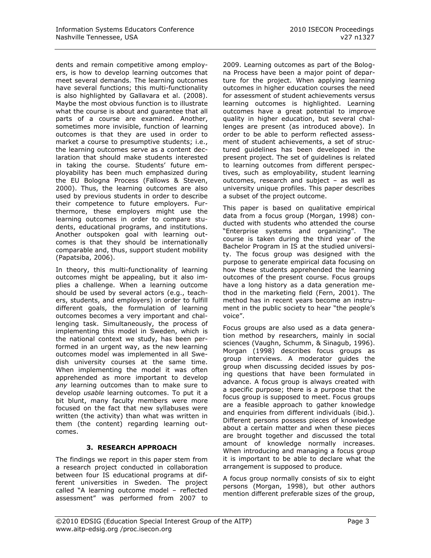dents and remain competitive among employers, is how to develop learning outcomes that meet several demands. The learning outcomes have several functions; this multi-functionality is also highlighted by Gallavara et al. (2008). Maybe the most obvious function is to illustrate what the course is about and guarantee that all parts of a course are examined. Another, sometimes more invisible, function of learning outcomes is that they are used in order to market a course to presumptive students; i.e., the learning outcomes serve as a content declaration that should make students interested in taking the course. Students' future employability has been much emphasized during the EU Bologna Process (Fallows & Steven, 2000). Thus, the learning outcomes are also used by previous students in order to describe their competence to future employers. Furthermore, these employers might use the learning outcomes in order to compare students, educational programs, and institutions. Another outspoken goal with learning outcomes is that they should be internationally comparable and, thus, support student mobility (Papatsiba, 2006).

In theory, this multi-functionality of learning outcomes might be appealing, but it also implies a challenge. When a learning outcome should be used by several actors (e.g., teachers, students, and employers) in order to fulfill different goals, the formulation of learning outcomes becomes a very important and challenging task. Simultaneously, the process of implementing this model in Sweden, which is the national context we study, has been performed in an urgent way, as the new learning outcomes model was implemented in all Swedish university courses at the same time. When implementing the model it was often apprehended as more important to develop *any* learning outcomes than to make sure to develop *usable* learning outcomes. To put it a bit blunt, many faculty members were more focused on the fact that new syllabuses were written (the activity) than what was written in them (the content) regarding learning outcomes.

# **3. RESEARCH APPROACH**

The findings we report in this paper stem from a research project conducted in collaboration between four IS educational programs at different universities in Sweden. The project called "A learning outcome model – reflected assessment" was performed from 2007 to 2009. Learning outcomes as part of the Bologna Process have been a major point of departure for the project. When applying learning outcomes in higher education courses the need for assessment of student achievements versus learning outcomes is highlighted. Learning outcomes have a great potential to improve quality in higher education, but several challenges are present (as introduced above). In order to be able to perform reflected assessment of student achievements, a set of structured guidelines has been developed in the present project. The set of guidelines is related to learning outcomes from different perspectives, such as employability, student learning outcomes, research and subject – as well as university unique profiles. This paper describes a subset of the project outcome.

This paper is based on qualitative empirical data from a focus group (Morgan, 1998) conducted with students who attended the course "Enterprise systems and organizing". The course is taken during the third year of the Bachelor Program in IS at the studied university. The focus group was designed with the purpose to generate empirical data focusing on how these students apprehended the learning outcomes of the present course. Focus groups have a long history as a data generation method in the marketing field (Fern, 2001). The method has in recent years become an instrument in the public society to hear "the people's voice".

Focus groups are also used as a data generation method by researchers, mainly in social sciences (Vaughn, Schumm, & Sinagub, 1996). Morgan (1998) describes focus groups as group interviews. A moderator guides the group when discussing decided issues by posing questions that have been formulated in advance. A focus group is always created with a specific purpose; there is a purpose that the focus group is supposed to meet. Focus groups are a feasible approach to gather knowledge and enquiries from different individuals (ibid.). Different persons possess pieces of knowledge about a certain matter and when these pieces are brought together and discussed the total amount of knowledge normally increases. When introducing and managing a focus group it is important to be able to declare what the arrangement is supposed to produce.

A focus group normally consists of six to eight persons (Morgan, 1998), but other authors mention different preferable sizes of the group,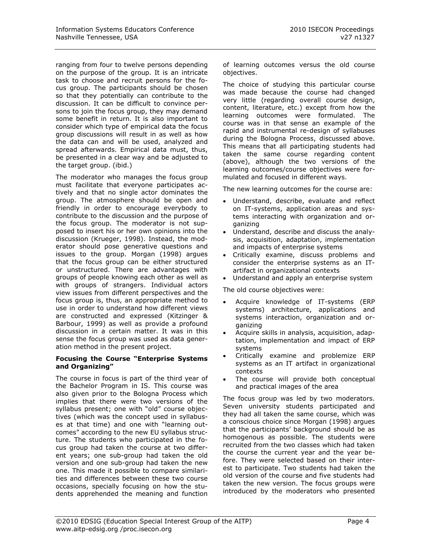ranging from four to twelve persons depending on the purpose of the group. It is an intricate task to choose and recruit persons for the focus group. The participants should be chosen so that they potentially can contribute to the discussion. It can be difficult to convince persons to join the focus group, they may demand some benefit in return. It is also important to consider which type of empirical data the focus group discussions will result in as well as how the data can and will be used, analyzed and spread afterwards. Empirical data must, thus, be presented in a clear way and be adjusted to the target group. (ibid.)

The moderator who manages the focus group must facilitate that everyone participates actively and that no single actor dominates the group. The atmosphere should be open and friendly in order to encourage everybody to contribute to the discussion and the purpose of the focus group. The moderator is not supposed to insert his or her own opinions into the discussion (Krueger, 1998). Instead, the moderator should pose generative questions and issues to the group. Morgan (1998) argues that the focus group can be either structured or unstructured. There are advantages with groups of people knowing each other as well as with groups of strangers. Individual actors view issues from different perspectives and the focus group is, thus, an appropriate method to use in order to understand how different views are constructed and expressed (Kitzinger & Barbour, 1999) as well as provide a profound discussion in a certain matter. It was in this sense the focus group was used as data generation method in the present project.

#### **Focusing the Course "Enterprise Systems and Organizing"**

The course in focus is part of the third year of the Bachelor Program in IS. This course was also given prior to the Bologna Process which implies that there were two versions of the syllabus present; one with "old" course objectives (which was the concept used in syllabuses at that time) and one with "learning outcomes" according to the new EU syllabus structure. The students who participated in the focus group had taken the course at two different years; one sub-group had taken the old version and one sub-group had taken the new one. This made it possible to compare similarities and differences between these two course occasions, specially focusing on how the students apprehended the meaning and function of learning outcomes versus the old course objectives.

The choice of studying this particular course was made because the course had changed very little (regarding overall course design, content, literature, etc.) except from how the learning outcomes were formulated. The course was in that sense an example of the rapid and instrumental re-design of syllabuses during the Bologna Process, discussed above. This means that all participating students had taken the same course regarding content (above), although the two versions of the learning outcomes/course objectives were formulated and focused in different ways.

The new learning outcomes for the course are:

- Understand, describe, evaluate and reflect on IT-systems, application areas and systems interacting with organization and organizing
- Understand, describe and discuss the analysis, acquisition, adaptation, implementation and impacts of enterprise systems
- Critically examine, discuss problems and consider the enterprise systems as an ITartifact in organizational contexts
- Understand and apply an enterprise system

The old course objectives were:

- Acquire knowledge of IT-systems (ERP systems) architecture, applications and systems interaction, organization and organizing
- Acquire skills in analysis, acquisition, adaptation, implementation and impact of ERP systems
- Critically examine and problemize ERP systems as an IT artifact in organizational contexts
- The course will provide both conceptual and practical images of the area

The focus group was led by two moderators. Seven university students participated and they had all taken the same course, which was a conscious choice since Morgan (1998) argues that the participants' background should be as homogenous as possible. The students were recruited from the two classes which had taken the course the current year and the year before. They were selected based on their interest to participate. Two students had taken the old version of the course and five students had taken the new version. The focus groups were introduced by the moderators who presented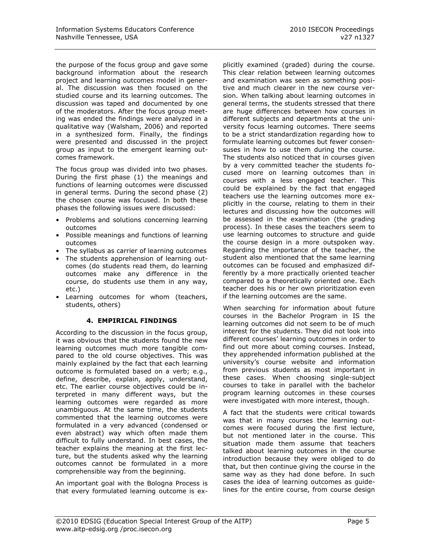the purpose of the focus group and gave some background information about the research project and learning outcomes model in general. The discussion was then focused on the studied course and its learning outcomes. The discussion was taped and documented by one of the moderators. After the focus group meeting was ended the findings were analyzed in a qualitative way (Walsham, 2006) and reported in a synthesized form. Finally, the findings were presented and discussed in the project group as input to the emergent learning outcomes framework.

The focus group was divided into two phases. During the first phase (1) the meanings and functions of learning outcomes were discussed in general terms. During the second phase (2) the chosen course was focused. In both these phases the following issues were discussed:

- Problems and solutions concerning learning outcomes
- Possible meanings and functions of learning outcomes
- The syllabus as carrier of learning outcomes
- The students apprehension of learning outcomes (do students read them, do learning outcomes make any difference in the course, do students use them in any way, etc.)
- Learning outcomes for whom (teachers, students, others)

#### **4. EMPIRICAL FINDINGS**

According to the discussion in the focus group, it was obvious that the students found the new learning outcomes much more tangible compared to the old course objectives. This was mainly explained by the fact that each learning outcome is formulated based on a verb; e.g., define, describe, explain, apply, understand, etc. The earlier course objectives could be interpreted in many different ways, but the learning outcomes were regarded as more unambiguous. At the same time, the students commented that the learning outcomes were formulated in a very advanced (condensed or even abstract) way which often made them difficult to fully understand. In best cases, the teacher explains the meaning at the first lecture, but the students asked why the learning outcomes cannot be formulated in a more comprehensible way from the beginning.

An important goal with the Bologna Process is that every formulated learning outcome is ex-

plicitly examined (graded) during the course. This clear relation between learning outcomes and examination was seen as something positive and much clearer in the new course version. When talking about learning outcomes in general terms, the students stressed that there are huge differences between how courses in different subjects and departments at the university focus learning outcomes. There seems to be a strict standardization regarding how to formulate learning outcomes but fewer consensuses in how to use them during the course. The students also noticed that in courses given by a very committed teacher the students focused more on learning outcomes than in courses with a less engaged teacher. This could be explained by the fact that engaged teachers use the learning outcomes more explicitly in the course, relating to them in their lectures and discussing how the outcomes will be assessed in the examination (the grading process). In these cases the teachers seem to use learning outcomes to structure and guide the course design in a more outspoken way. Regarding the importance of the teacher, the student also mentioned that the same learning outcomes can be focused and emphasized differently by a more practically oriented teacher compared to a theoretically oriented one. Each teacher does his or her own prioritization even if the learning outcomes are the same.

When searching for information about future courses in the Bachelor Program in IS the learning outcomes did not seem to be of much interest for the students. They did not look into different courses' learning outcomes in order to find out more about coming courses. Instead, they apprehended information published at the university's course website and information from previous students as most important in these cases. When choosing single-subject courses to take in parallel with the bachelor program learning outcomes in these courses were investigated with more interest, though.

A fact that the students were critical towards was that in many courses the learning outcomes were focused during the first lecture, but not mentioned later in the course. This situation made them assume that teachers talked about learning outcomes in the course introduction because they were obliged to do that, but then continue giving the course in the same way as they had done before. In such cases the idea of learning outcomes as guidelines for the entire course, from course design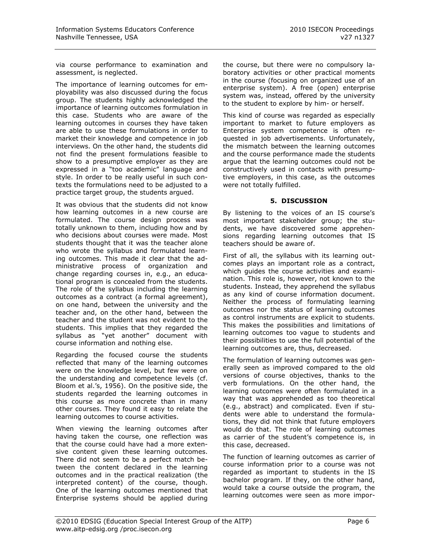via course performance to examination and assessment, is neglected.

The importance of learning outcomes for employability was also discussed during the focus group. The students highly acknowledged the importance of learning outcomes formulation in this case. Students who are aware of the learning outcomes in courses they have taken are able to use these formulations in order to market their knowledge and competence in job interviews. On the other hand, the students did not find the present formulations feasible to show to a presumptive employer as they are expressed in a "too academic" language and style. In order to be really useful in such contexts the formulations need to be adjusted to a practice target group, the students argued.

It was obvious that the students did not know how learning outcomes in a new course are formulated. The course design process was totally unknown to them, including how and by who decisions about courses were made. Most students thought that it was the teacher alone who wrote the syllabus and formulated learning outcomes. This made it clear that the administrative process of organization and change regarding courses in, e.g., an educational program is concealed from the students. The role of the syllabus including the learning outcomes as a contract (a formal agreement), on one hand, between the university and the teacher and, on the other hand, between the teacher and the student was not evident to the students. This implies that they regarded the syllabus as "yet another" document with course information and nothing else.

Regarding the focused course the students reflected that many of the learning outcomes were on the knowledge level, but few were on the understanding and competence levels (cf. Bloom et al.'s, 1956). On the positive side, the students regarded the learning outcomes in this course as more concrete than in many other courses. They found it easy to relate the learning outcomes to course activities.

When viewing the learning outcomes after having taken the course, one reflection was that the course could have had a more extensive content given these learning outcomes. There did not seem to be a perfect match between the content declared in the learning outcomes and in the practical realization (the interpreted content) of the course, though. One of the learning outcomes mentioned that Enterprise systems should be applied during

the course, but there were no compulsory laboratory activities or other practical moments in the course (focusing on organized use of an enterprise system). A free (open) enterprise system was, instead, offered by the university to the student to explore by him- or herself.

This kind of course was regarded as especially important to market to future employers as Enterprise system competence is often requested in job advertisements. Unfortunately, the mismatch between the learning outcomes and the course performance made the students argue that the learning outcomes could not be constructively used in contacts with presumptive employers, in this case, as the outcomes were not totally fulfilled.

#### **5. DISCUSSION**

By listening to the voices of an IS course's most important stakeholder group; the students, we have discovered some apprehensions regarding learning outcomes that IS teachers should be aware of.

First of all, the syllabus with its learning outcomes plays an important role as a contract, which guides the course activities and examination. This role is, however, not known to the students. Instead, they apprehend the syllabus as any kind of course information document. Neither the process of formulating learning outcomes nor the status of learning outcomes as control instruments are explicit to students. This makes the possibilities and limitations of learning outcomes too vague to students and their possibilities to use the full potential of the learning outcomes are, thus, decreased.

The formulation of learning outcomes was generally seen as improved compared to the old versions of course objectives, thanks to the verb formulations. On the other hand, the learning outcomes were often formulated in a way that was apprehended as too theoretical (e.g., abstract) and complicated. Even if students were able to understand the formulations, they did not think that future employers would do that. The role of learning outcomes as carrier of the student's competence is, in this case, decreased.

The function of learning outcomes as carrier of course information prior to a course was not regarded as important to students in the IS bachelor program. If they, on the other hand, would take a course outside the program, the learning outcomes were seen as more impor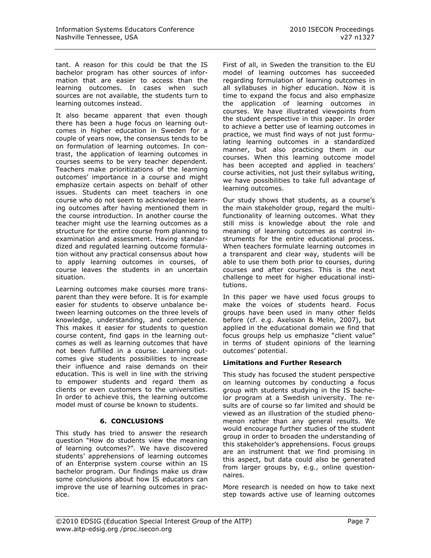tant. A reason for this could be that the IS bachelor program has other sources of information that are easier to access than the learning outcomes. In cases when such sources are not available, the students turn to learning outcomes instead.

It also became apparent that even though there has been a huge focus on learning outcomes in higher education in Sweden for a couple of years now, the consensus tends to be on formulation of learning outcomes. In contrast, the application of learning outcomes in courses seems to be very teacher dependent. Teachers make prioritizations of the learning outcomes' importance in a course and might emphasize certain aspects on behalf of other issues. Students can meet teachers in one course who do not seem to acknowledge learning outcomes after having mentioned them in the course introduction. In another course the teacher might use the learning outcomes as a structure for the entire course from planning to examination and assessment. Having standardized and regulated learning outcome formulation without any practical consensus about how to apply learning outcomes in courses, of course leaves the students in an uncertain situation.

Learning outcomes make courses more transparent than they were before. It is for example easier for students to observe unbalance between learning outcomes on the three levels of knowledge, understanding, and competence. This makes it easier for students to question course content, find gaps in the learning outcomes as well as learning outcomes that have not been fulfilled in a course. Learning outcomes give students possibilities to increase their influence and raise demands on their education. This is well in line with the striving to empower students and regard them as clients or even customers to the universities. In order to achieve this, the learning outcome model must of course be known to students.

# **6. CONCLUSIONS**

This study has tried to answer the research question "How do students view the meaning of learning outcomes?". We have discovered students' apprehensions of learning outcomes of an Enterprise system course within an IS bachelor program. Our findings make us draw some conclusions about how IS educators can improve the use of learning outcomes in practice.

First of all, in Sweden the transition to the EU model of learning outcomes has succeeded regarding formulation of learning outcomes in all syllabuses in higher education. Now it is time to expand the focus and also emphasize the application of learning outcomes in courses. We have illustrated viewpoints from the student perspective in this paper. In order to achieve a better use of learning outcomes in practice, we must find ways of not just formulating learning outcomes in a standardized manner, but also practicing them in our courses. When this learning outcome model has been accepted and applied in teachers' course activities, not just their syllabus writing, we have possibilities to take full advantage of learning outcomes.

Our study shows that students, as a course's the main stakeholder group, regard the multifunctionality of learning outcomes. What they still miss is knowledge about the role and meaning of learning outcomes as control instruments for the entire educational process. When teachers formulate learning outcomes in a transparent and clear way, students will be able to use them both prior to courses, during courses and after courses. This is the next challenge to meet for higher educational institutions.

In this paper we have used focus groups to make the voices of students heard. Focus groups have been used in many other fields before (cf. e.g. Axelsson & Melin, 2007), but applied in the educational domain we find that focus groups help us emphasize "client value" in terms of student opinions of the learning outcomes' potential.

# **Limitations and Further Research**

This study has focused the student perspective on learning outcomes by conducting a focus group with students studying in the IS bachelor program at a Swedish university. The results are of course so far limited and should be viewed as an illustration of the studied phenomenon rather than any general results. We would encourage further studies of the student group in order to broaden the understanding of this stakeholder's apprehensions. Focus groups are an instrument that we find promising in this aspect, but data could also be generated from larger groups by, e.g., online questionnaires.

More research is needed on how to take next step towards active use of learning outcomes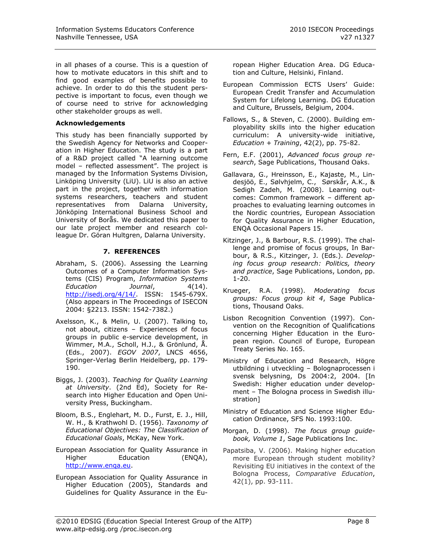in all phases of a course. This is a question of how to motivate educators in this shift and to find good examples of benefits possible to achieve. In order to do this the student perspective is important to focus, even though we of course need to strive for acknowledging other stakeholder groups as well.

#### **Acknowledgements**

This study has been financially supported by the Swedish Agency for Networks and Cooperation in Higher Education. The study is a part of a R&D project called "A learning outcome model – reflected assessment". The project is managed by the Information Systems Division, Linköping University (LiU). LiU is also an active part in the project, together with information systems researchers, teachers and student representatives from Dalarna University, Jönköping International Business School and University of Borås. We dedicated this paper to our late project member and research colleague Dr. Göran Hultgren, Dalarna University.

### **7. REFERENCES**

- Abraham, S. (2006). Assessing the Learning Outcomes of a Computer Information Systems (CIS) Program, *Information Systems Education Journal*, 4(14). [http://isedj.org/4/14/.](http://isedj.org/4/14/) ISSN: 1545-679X. (Also appears in The Proceedings of ISECON 2004: §2213. ISSN: 1542-7382.)
- Axelsson, K., & Melin, U. (2007). Talking to, not about, citizens – Experiences of focus groups in public e-service development, in Wimmer, M.A., Scholl, H.J., & Grönlund, Å. (Eds., 2007). *EGOV 2007*, LNCS 4656, Springer-Verlag Berlin Heidelberg, pp. 179- 190.
- Biggs, J. (2003). *Teaching for Quality Learning at University*. (2nd Ed), Society for Research into Higher Education and Open University Press, Buckingham.
- Bloom, B.S., Englehart, M. D., Furst, E. J., Hill, W. H., & Krathwohl D. (1956). *Taxonomy of Educational Objectives: The Classification of Educational Goals*, McKay, New York.
- European Association for Quality Assurance in Higher Education (ENQA), [http://www.enqa.eu.](http://www.enqa.eu/)
- European Association for Quality Assurance in Higher Education (2005), Standards and Guidelines for Quality Assurance in the Eu-

ropean Higher Education Area. DG Education and Culture, Helsinki, Finland.

- European Commission ECTS Users' Guide: European Credit Transfer and Accumulation System for Lifelong Learning. DG Education and Culture, Brussels, Belgium, 2004.
- Fallows, S., & Steven, C. (2000). Building employability skills into the higher education curriculum: A university-wide initiative, *Education + Training*, 42(2), pp. 75-82.
- Fern, E.F. (2001), *Advanced focus group research*, Sage Publications, Thousand Oaks.
- Gallavara, G., Hreinsson, E., Kajaste, M., Lindesjöö, E., Sølvhjelm, C., Sørskår, A.K., & Sedigh Zadeh, M. (2008). Learning outcomes: Common framework – different approaches to evaluating learning outcomes in the Nordic countries, European Association for Quality Assurance in Higher Education, ENQA Occasional Papers 15.
- Kitzinger, J., & Barbour, R.S. (1999). The challenge and promise of focus groups, In Barbour, & R.S., Kitzinger, J. (Eds.). *Developing focus group research: Politics, theory and practice*, Sage Publications, London, pp. 1-20.
- Krueger, R.A. (1998). *Moderating focus groups: Focus group kit 4*, Sage Publications, Thousand Oaks.
- Lisbon Recognition Convention (1997). Convention on the Recognition of Qualifications concerning Higher Education in the European region. Council of Europe, European Treaty Series No. 165.
- Ministry of Education and Research, Högre utbildning i utveckling – Bolognaprocessen i svensk belysning, Ds 2004:2, 2004. [In Swedish: Higher education under development – The Bologna process in Swedish illustration]
- Ministry of Education and Science Higher Education Ordinance, SFS No. 1993:100.
- Morgan, D. (1998). *The focus group guidebook, Volume 1*, Sage Publications Inc.
- Papatsiba, V. (2006). Making higher education more European through student mobility? Revisiting EU initiatives in the context of the Bologna Process, *Comparative Education*, 42(1), pp. 93-111.